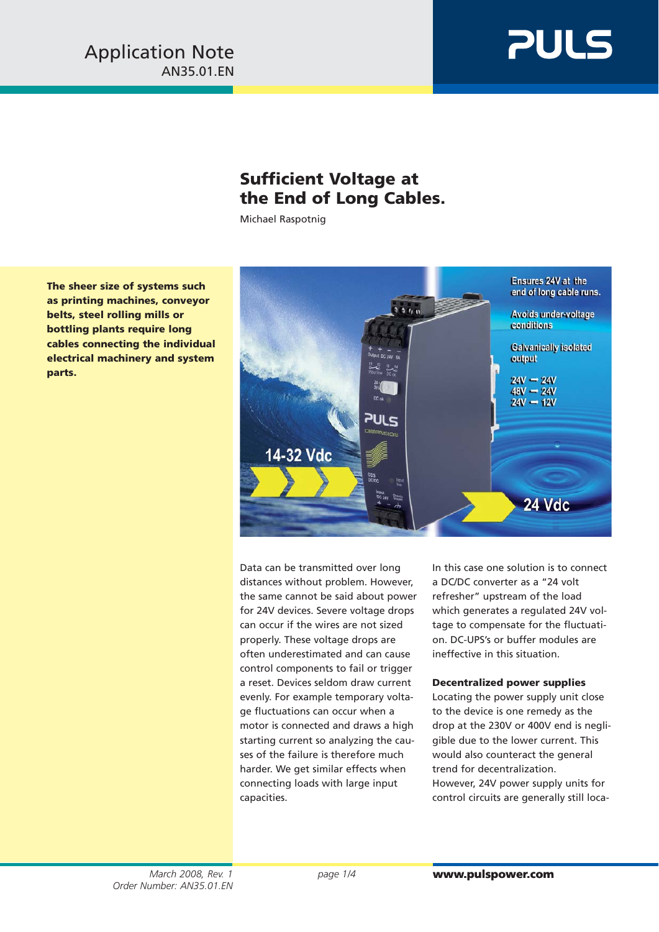

## **Sufficient Voltage at the End of Long Cables.**

Michael Raspotnig

**The sheer size of systems such as printing machines, conveyor belts, steel rolling mills or bottling plants require long cables connecting the individual electrical machinery and system parts.**



Data can be transmitted over long distances without problem. However, the same cannot be said about power for 24V devices. Severe voltage drops can occur if the wires are not sized properly. These voltage drops are often underestimated and can cause control components to fail or trigger a reset. Devices seldom draw current evenly. For example temporary voltage fluctuations can occur when a motor is connected and draws a high starting current so analyzing the causes of the failure is therefore much harder. We get similar effects when connecting loads with large input capacities.

In this case one solution is to connect a DC/DC converter as a "24 volt refresher" upstream of the load which generates a regulated 24V voltage to compensate for the fluctuation. DC-UPS's or buffer modules are ineffective in this situation.

## **Decentralized power supplies**

Locating the power supply unit close to the device is one remedy as the drop at the 230V or 400V end is negligible due to the lower current. This would also counteract the general trend for decentralization. However, 24V power supply units for control circuits are generally still loca-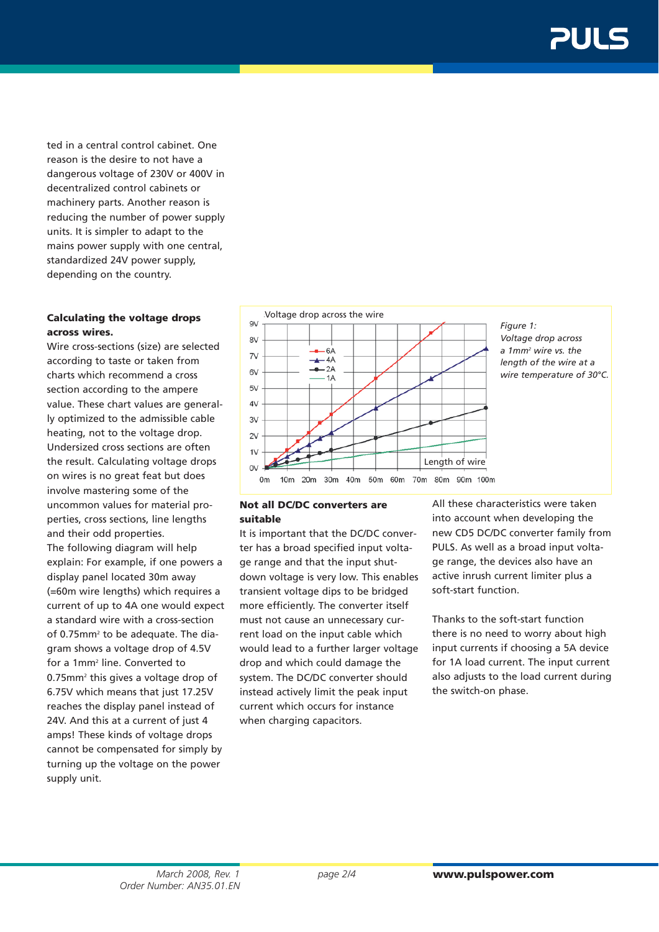ted in a central control cabinet. One reason is the desire to not have a dangerous voltage of 230V or 400V in decentralized control cabinets or machinery parts. Another reason is reducing the number of power supply units. It is simpler to adapt to the mains power supply with one central, standardized 24V power supply, depending on the country.

## **Calculating the voltage drops across wires.**

Wire cross-sections (size) are selected according to taste or taken from charts which recommend a cross section according to the ampere value. These chart values are generally optimized to the admissible cable heating, not to the voltage drop. Undersized cross sections are often the result. Calculating voltage drops on wires is no great feat but does involve mastering some of the uncommon values for material properties, cross sections, line lengths and their odd properties. The following diagram will help explain: For example, if one powers a display panel located 30m away (=60m wire lengths) which requires a current of up to 4A one would expect a standard wire with a cross-section of 0.75mm<sup>2</sup> to be adequate. The diagram shows a voltage drop of 4.5V for a 1mm2 line. Converted to 0.75mm2 this gives a voltage drop of 6.75V which means that just 17.25V reaches the display panel instead of 24V. And this at a current of just 4 amps! These kinds of voltage drops cannot be compensated for simply by turning up the voltage on the power supply unit.



## **Not all DC/DC converters are suitable**

It is important that the DC/DC converter has a broad specified input voltage range and that the input shutdown voltage is very low. This enables transient voltage dips to be bridged more efficiently. The converter itself must not cause an unnecessary current load on the input cable which would lead to a further larger voltage drop and which could damage the system. The DC/DC converter should instead actively limit the peak input current which occurs for instance when charging capacitors.

All these characteristics were taken into account when developing the new CD5 DC/DC converter family from PULS. As well as a broad input voltage range, the devices also have an active inrush current limiter plus a soft-start function.

Thanks to the soft-start function there is no need to worry about high input currents if choosing a 5A device for 1A load current. The input current also adjusts to the load current during the switch-on phase.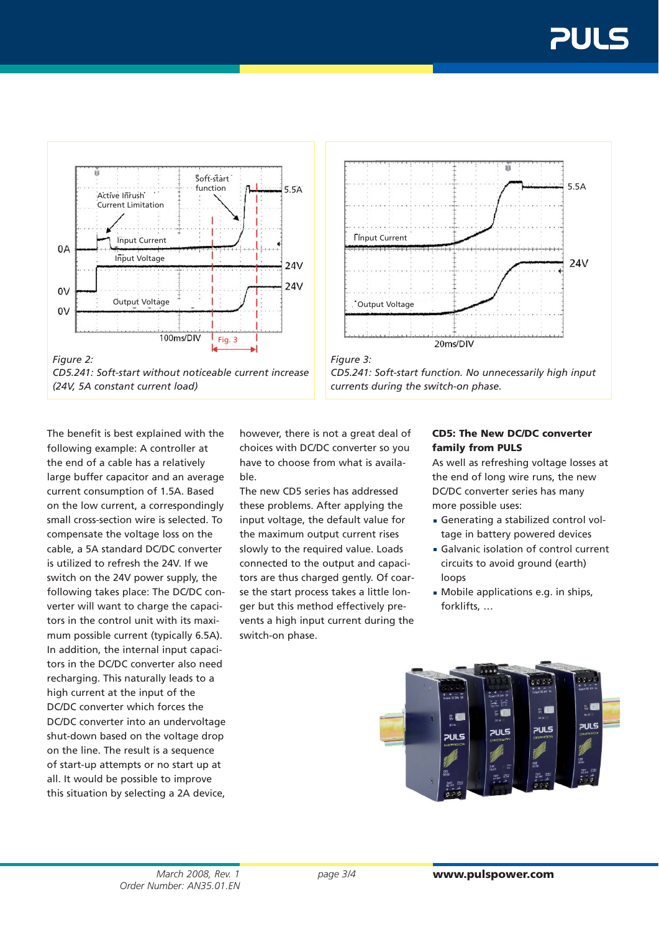$24V$ 



*CD5.241: Soft-start without noticeable current increase (24V, 5A constant current load)*

The benefit is best explained with the following example: A controller at the end of a cable has a relatively large buffer capacitor and an average current consumption of 1.5A. Based on the low current, a correspondingly small cross-section wire is selected. To compensate the voltage loss on the cable, a 5A standard DC/DC converter is utilized to refresh the 24V. If we switch on the 24V power supply, the following takes place: The DC/DC converter will want to charge the capacitors in the control unit with its maximum possible current (typically 6.5A). In addition, the internal input capacitors in the DC/DC converter also need recharging. This naturally leads to a high current at the input of the DC/DC converter which forces the DC/DC converter into an undervoltage shut-down based on the voltage drop on the line. The result is a sequence of start-up attempts or no start up at all. It would be possible to improve this situation by selecting a 2A device,

however, there is not a great deal of choices with DC/DC converter so you have to choose from what is available.

*Figure 3:* 

**Finput Current** 

The new CD5 series has addressed these problems. After applying the input voltage, the default value for the maximum output current rises slowly to the required value. Loads connected to the output and capacitors are thus charged gently. Of coarse the start process takes a little longer but this method effectively prevents a high input current during the switch-on phase.



*CD5.241: Soft-start function. No unnecessarily high input* 

20ms/DIV

*currents during the switch-on phase.*

As well as refreshing voltage losses at the end of long wire runs, the new DC/DC converter series has many more possible uses:

- Generating a stabilized control voltage in battery powered devices
- Galvanic isolation of control current circuits to avoid ground (earth) loops
- Mobile applications e.g. in ships, forklifts, …